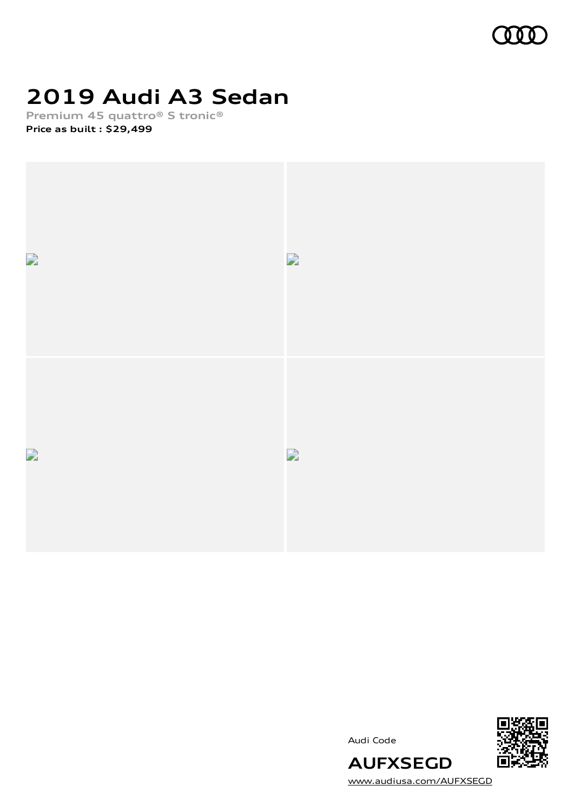

# **2019 Audi A3 Sedan**

**Premium 45 quattro® S tronic® Price as built [:](#page-9-0) \$29,499**



Audi Code



[www.audiusa.com/AUFXSEGD](https://www.audiusa.com/AUFXSEGD)

**AUFXSEGD**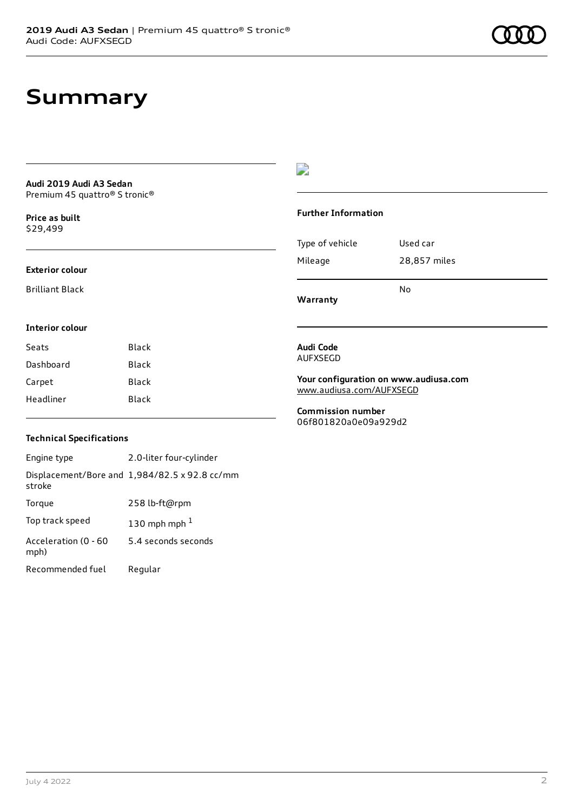## **Summary**

#### **Audi 2019 Audi A3 Sedan** Premium 45 quattro® S tronic®

**Price as buil[t](#page-9-0)** \$29,499

### **Exterior colour**

Brilliant Black

**Interior colour**

### D

#### **Further Information**

|                 | N٥           |
|-----------------|--------------|
| Mileage         | 28,857 miles |
| Type of vehicle | Used car     |

**Warranty**

### **Audi Code**

AUFXSEGD

**Your configuration on www.audiusa.com** [www.audiusa.com/AUFXSEGD](https://www.audiusa.com/AUFXSEGD)

**Commission number** 06f801820a0e09a929d2

### **Technical Specifications**

Seats Black Dashboard Black Carpet Black Headliner Black

Engine type 2.0-liter four-cylinder Displacement/Bore and 1,984/82.5 x 92.8 cc/mm stroke Torque 258 lb-ft@rpm Top track speed  $130$  $130$  mph mph  $^{\rm 1}$ Acceleration (0 - 60 mph) 5.4 seconds seconds Recommended fuel Regular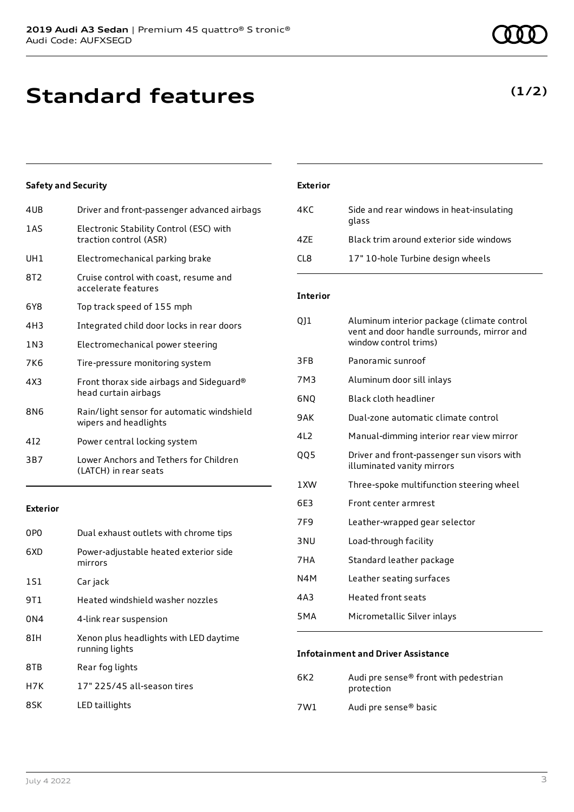## **Standard features**

### **Safety and Security**

| 4UB        | Driver and front-passenger advanced airbags                         |
|------------|---------------------------------------------------------------------|
| 1AS        | Electronic Stability Control (ESC) with<br>traction control (ASR)   |
| UH1        | Electromechanical parking brake                                     |
| 8T2        | Cruise control with coast, resume and<br>accelerate features        |
| 6Y8        | Top track speed of 155 mph                                          |
| 4H3        | Integrated child door locks in rear doors                           |
| 1N3        | Electromechanical power steering                                    |
| 7K6        | Tire-pressure monitoring system                                     |
| 4X3        | Front thorax side airbags and Sideguard®<br>head curtain airbags    |
| <b>8N6</b> | Rain/light sensor for automatic windshield<br>wipers and headlights |
| 412        | Power central locking system                                        |
| 3B7        | Lower Anchors and Tethers for Children<br>(LATCH) in rear seats     |
|            |                                                                     |

#### **Exterior**

| 0PO | Dual exhaust outlets with chrome tips                    |
|-----|----------------------------------------------------------|
| 6XD | Power-adjustable heated exterior side<br>mirrors         |
| 1S1 | Car jack                                                 |
| 9T1 | Heated windshield washer nozzles                         |
| 0N4 | 4-link rear suspension                                   |
| 8IH | Xenon plus headlights with LED daytime<br>running lights |
| 8TB | Rear fog lights                                          |
| H7K | 17" 225/45 all-season tires                              |
| 8SK | LED taillights                                           |

### **Exterior**

| 4KC  | Side and rear windows in heat-insulating<br>glass |
|------|---------------------------------------------------|
| 47F  | Black trim around exterior side windows           |
| CL 8 | 17" 10-hole Turbine design wheels                 |

### **Interior**

| 011  | Aluminum interior package (climate control<br>vent and door handle surrounds, mirror and<br>window control trims) |
|------|-------------------------------------------------------------------------------------------------------------------|
| 3FB  | Panoramic sunroof                                                                                                 |
| 7M3  | Aluminum door sill inlays                                                                                         |
| 6N0  | Black cloth headliner                                                                                             |
| 9AK  | Dual-zone automatic climate control                                                                               |
| 412  | Manual-dimming interior rear view mirror                                                                          |
| QQ5  | Driver and front-passenger sun visors with<br>illuminated vanity mirrors                                          |
| 1 XW | Three-spoke multifunction steering wheel                                                                          |
| 6E3  | Front center armrest                                                                                              |
| 7F9  | Leather-wrapped gear selector                                                                                     |
| 3NU  | Load-through facility                                                                                             |
| 7HA  | Standard leather package                                                                                          |
| N4M  | Leather seating surfaces                                                                                          |
| 4A3  | <b>Heated front seats</b>                                                                                         |
| 5MA  | Micrometallic Silver inlays                                                                                       |
|      |                                                                                                                   |

### **Infotainment and Driver Assistance**

| 6K2 | Audi pre sense <sup>®</sup> front with pedestrian<br>protection |
|-----|-----------------------------------------------------------------|
| 7W1 | Audi pre sense <sup>®</sup> basic                               |

### **(1/2)**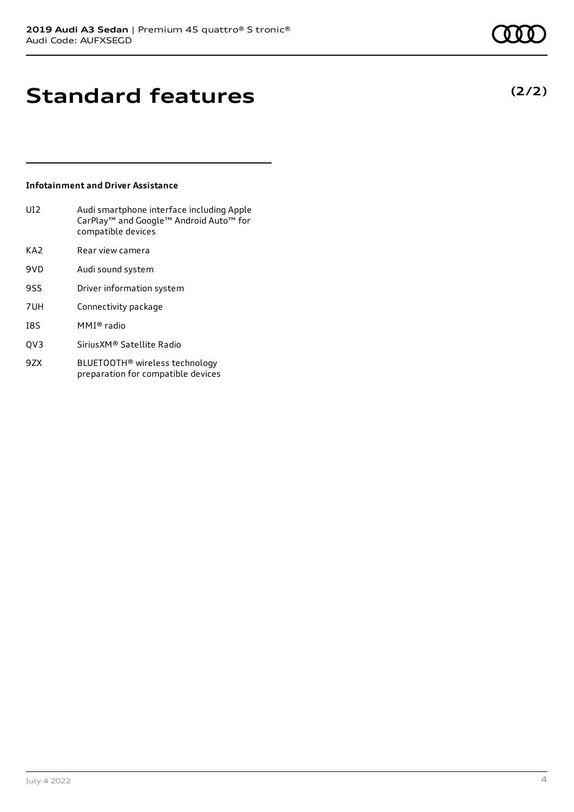**(2/2)**

## **Standard features**

### **Infotainment and Driver Assistance**

| UI <sub>2</sub> | Audi smartphone interface including Apple<br>CarPlay <sup>™</sup> and Google <sup>™</sup> Android Auto <sup>™</sup> for<br>compatible devices |
|-----------------|-----------------------------------------------------------------------------------------------------------------------------------------------|
| KA2             | Rear view camera                                                                                                                              |
| 9VD             | Audi sound system                                                                                                                             |
| 9S5             | Driver information system                                                                                                                     |
| 7UH             | Connectivity package                                                                                                                          |
| I8S             | MMI® radio                                                                                                                                    |
|                 |                                                                                                                                               |

- QV3 SiriusXM® Satellite Radio
- 9ZX BLUETOOTH® wireless technology preparation for compatible devices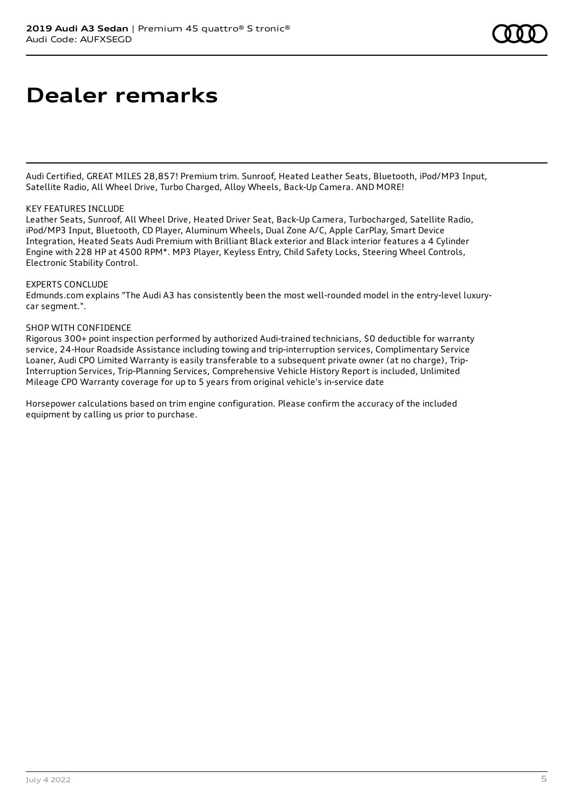## **Dealer remarks**

Audi Certified, GREAT MILES 28,857! Premium trim. Sunroof, Heated Leather Seats, Bluetooth, iPod/MP3 Input, Satellite Radio, All Wheel Drive, Turbo Charged, Alloy Wheels, Back-Up Camera. AND MORE!

#### KEY FEATURES INCLUDE

Leather Seats, Sunroof, All Wheel Drive, Heated Driver Seat, Back-Up Camera, Turbocharged, Satellite Radio, iPod/MP3 Input, Bluetooth, CD Player, Aluminum Wheels, Dual Zone A/C, Apple CarPlay, Smart Device Integration, Heated Seats Audi Premium with Brilliant Black exterior and Black interior features a 4 Cylinder Engine with 228 HP at 4500 RPM\*. MP3 Player, Keyless Entry, Child Safety Locks, Steering Wheel Controls, Electronic Stability Control.

#### EXPERTS CONCLUDE

Edmunds.com explains "The Audi A3 has consistently been the most well-rounded model in the entry-level luxurycar segment.".

#### SHOP WITH CONFIDENCE

Rigorous 300+ point inspection performed by authorized Audi-trained technicians, \$0 deductible for warranty service, 24-Hour Roadside Assistance including towing and trip-interruption services, Complimentary Service Loaner, Audi CPO Limited Warranty is easily transferable to a subsequent private owner (at no charge), Trip-Interruption Services, Trip-Planning Services, Comprehensive Vehicle History Report is included, Unlimited Mileage CPO Warranty coverage for up to 5 years from original vehicle's in-service date

Horsepower calculations based on trim engine configuration. Please confirm the accuracy of the included equipment by calling us prior to purchase.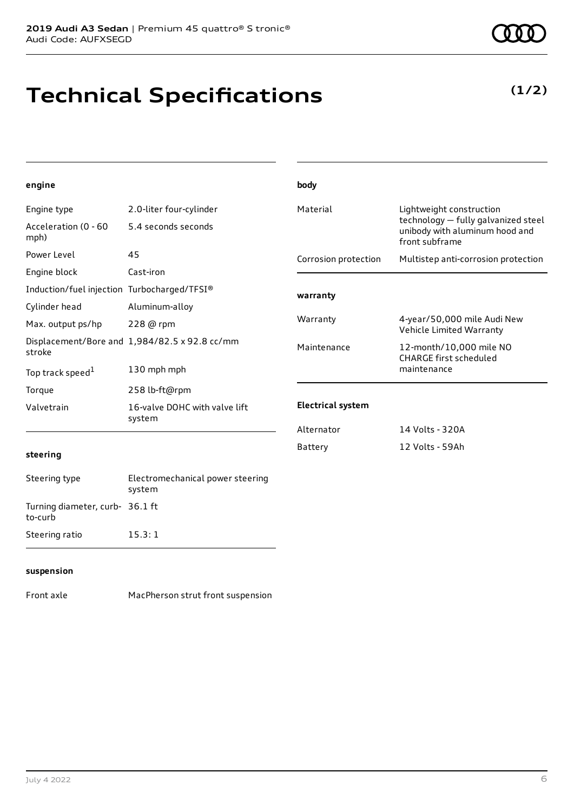# **Technical Specifications**

**(1/2)**

| engine                                      |                                               | body                                                                                          |                                                          |
|---------------------------------------------|-----------------------------------------------|-----------------------------------------------------------------------------------------------|----------------------------------------------------------|
| Engine type                                 | 2.0-liter four-cylinder                       | Material<br>Lightweight construction<br>technology - fully galvanized steel<br>front subframe |                                                          |
| Acceleration (0 - 60<br>mph)                | 5.4 seconds seconds                           |                                                                                               | unibody with aluminum hood and                           |
| Power Level                                 | 45                                            | Corrosion protection                                                                          | Multistep anti-corrosion protection                      |
| Engine block                                | Cast-iron                                     |                                                                                               |                                                          |
| Induction/fuel injection Turbocharged/TFSI® |                                               | warranty                                                                                      |                                                          |
| Cylinder head                               | Aluminum-alloy                                |                                                                                               |                                                          |
| Max. output ps/hp                           | 228 @ rpm                                     | Warranty                                                                                      | 4-year/50,000 mile Audi New<br>Vehicle Limited Warranty  |
| stroke                                      | Displacement/Bore and 1,984/82.5 x 92.8 cc/mm | Maintenance                                                                                   | 12-month/10,000 mile NO<br><b>CHARGE first scheduled</b> |
| Top track speed <sup>1</sup>                | 130 mph mph                                   |                                                                                               | maintenance                                              |
| Torque                                      | 258 lb-ft@rpm                                 |                                                                                               |                                                          |
| Valvetrain                                  | 16-valve DOHC with valve lift<br>system       | <b>Electrical system</b>                                                                      |                                                          |
|                                             |                                               | Alternator                                                                                    | 14 Volts - 320A                                          |
| steering                                    |                                               | Battery                                                                                       | 12 Volts - 59Ah                                          |
| Steering type                               | Electromechanical power steering<br>system    |                                                                                               |                                                          |
| Turning diameter, curb- 36.1 ft<br>to-curb  |                                               |                                                                                               |                                                          |
| Steering ratio                              | 15.3:1                                        |                                                                                               |                                                          |
|                                             |                                               |                                                                                               |                                                          |

### **suspension**

Front axle MacPherson strut front suspension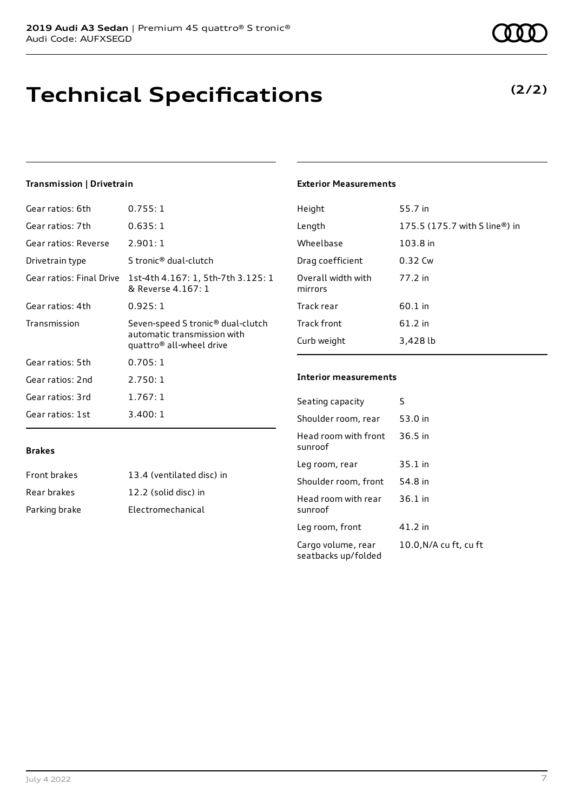# **Technical Specifications**

**(2/2)**

### **Transmission | Drivetrain**

| Gear ratios: 6th         | 0.755:1                                                                                                  |
|--------------------------|----------------------------------------------------------------------------------------------------------|
| Gear ratios: 7th         | 0.635:1                                                                                                  |
| Gear ratios: Reverse     | 2.901:1                                                                                                  |
| Drivetrain type          | S tronic® dual-clutch                                                                                    |
| Gear ratios: Final Drive | 1st-4th 4.167: 1, 5th-7th 3.125: 1<br>& Reverse 4.167: 1                                                 |
| Gear ratios: 4th         | 0.925:1                                                                                                  |
| Transmission             | Seven-speed S tronic <sup>®</sup> dual-clutch<br>automatic transmission with<br>quattro® all-wheel drive |
| Gear ratios: 5th         | 0.705:1                                                                                                  |
| Gear ratios: 2nd         | 2.750:1                                                                                                  |
| Gear ratios: 3rd         | 1.767:1                                                                                                  |
| Gear ratios: 1st         | 3.400:1                                                                                                  |

### **Exterior Measurements**

| Height                        | 55.7 in                       |
|-------------------------------|-------------------------------|
| Length                        | 175.5 (175.7 with S line®) in |
| Wheelbase                     | 103.8 in                      |
| Drag coefficient              | $0.32$ Cw                     |
| Overall width with<br>mirrors | 77.2 in                       |
| Track rear                    | $60.1$ in                     |
| Track front                   | 61.2 in                       |
| Curb weight                   | 3,428 lb                      |

### **Interior measurements**

| Seating capacity                          | 5                      |
|-------------------------------------------|------------------------|
| Shoulder room, rear                       | 53.0 in                |
| Head room with front<br>sunroof           | 36.5 in                |
| Leg room, rear                            | $35.1$ in              |
| Shoulder room, front                      | 54.8 in                |
| Head room with rear<br>sunroof            | 36.1 in                |
| Leg room, front                           | 41.2 in                |
| Cargo volume, rear<br>seatbacks up/folded | 10.0, N/A cu ft, cu ft |

### **Brakes**

| Front brakes  | 13.4 (ventilated disc) in |
|---------------|---------------------------|
| Rear brakes   | 12.2 (solid disc) in      |
| Parking brake | Electromechanical         |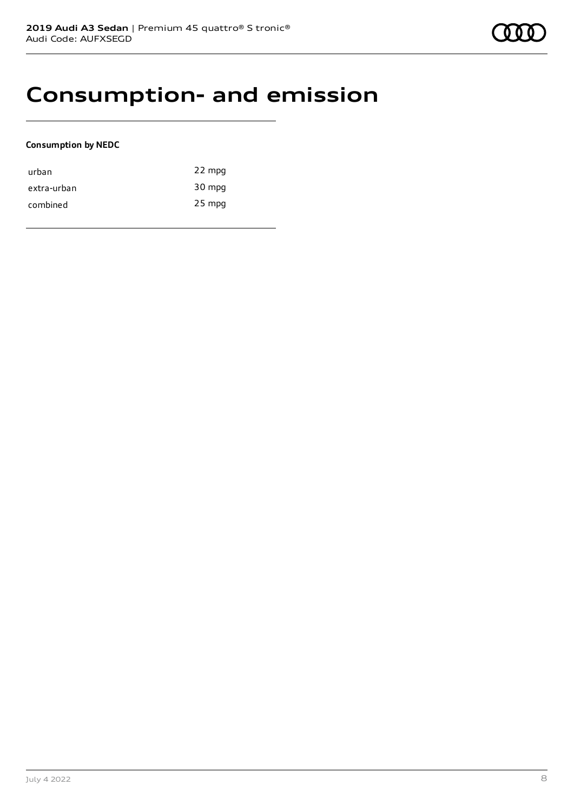### **Consumption- and emission**

### **Consumption by NEDC**

| urban       | 22 mpg   |
|-------------|----------|
| extra-urban | 30 mpg   |
| combined    | $25$ mpg |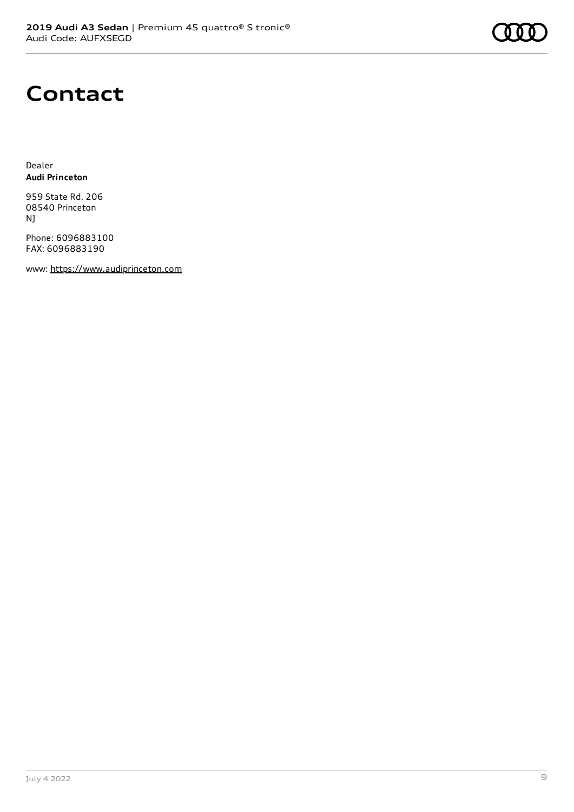### **Contact**

Dealer **Audi Princeton**

959 State Rd. 206 08540 Princeton NJ

Phone: 6096883100 FAX: 6096883190

www: [https://www.audiprinceton.com](https://www.audiprinceton.com/)